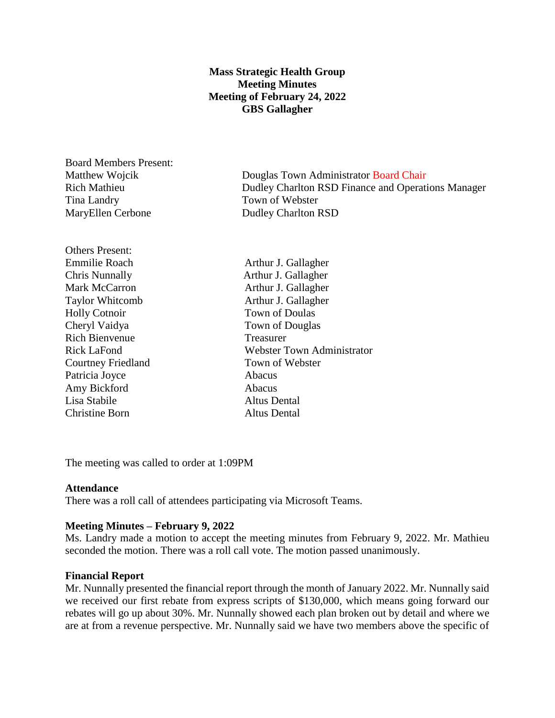# **Mass Strategic Health Group Meeting Minutes Meeting of February 24, 2022 GBS Gallagher**

Board Members Present: Tina Landry Town of Webster MaryEllen Cerbone Dudley Charlton RSD

Others Present: Emmilie Roach Arthur J. Gallagher Chris Nunnally Arthur J. Gallagher Mark McCarron **Arthur J. Gallagher** Holly Cotnoir Town of Doulas Cheryl Vaidya Town of Douglas Rich Bienvenue Treasurer Courtney Friedland Town of Webster Patricia Joyce Abacus Amy Bickford **Abacus** Lisa Stabile Altus Dental Christine Born Altus Dental

Matthew Wojcik Douglas Town Administrator Board Chair Rich Mathieu Dudley Charlton RSD Finance and Operations Manager

Taylor Whitcomb Arthur J. Gallagher Rick LaFond Webster Town Administrator

The meeting was called to order at 1:09PM

#### **Attendance**

There was a roll call of attendees participating via Microsoft Teams.

#### **Meeting Minutes – February 9, 2022**

Ms. Landry made a motion to accept the meeting minutes from February 9, 2022. Mr. Mathieu seconded the motion. There was a roll call vote. The motion passed unanimously.

#### **Financial Report**

Mr. Nunnally presented the financial report through the month of January 2022. Mr. Nunnally said we received our first rebate from express scripts of \$130,000, which means going forward our rebates will go up about 30%. Mr. Nunnally showed each plan broken out by detail and where we are at from a revenue perspective. Mr. Nunnally said we have two members above the specific of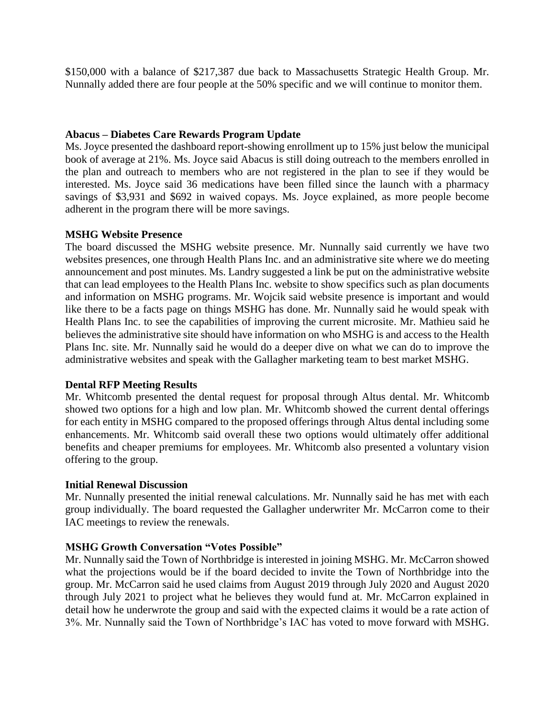\$150,000 with a balance of \$217,387 due back to Massachusetts Strategic Health Group. Mr. Nunnally added there are four people at the 50% specific and we will continue to monitor them.

### **Abacus – Diabetes Care Rewards Program Update**

Ms. Joyce presented the dashboard report-showing enrollment up to 15% just below the municipal book of average at 21%. Ms. Joyce said Abacus is still doing outreach to the members enrolled in the plan and outreach to members who are not registered in the plan to see if they would be interested. Ms. Joyce said 36 medications have been filled since the launch with a pharmacy savings of \$3,931 and \$692 in waived copays. Ms. Joyce explained, as more people become adherent in the program there will be more savings.

### **MSHG Website Presence**

The board discussed the MSHG website presence. Mr. Nunnally said currently we have two websites presences, one through Health Plans Inc. and an administrative site where we do meeting announcement and post minutes. Ms. Landry suggested a link be put on the administrative website that can lead employees to the Health Plans Inc. website to show specifics such as plan documents and information on MSHG programs. Mr. Wojcik said website presence is important and would like there to be a facts page on things MSHG has done. Mr. Nunnally said he would speak with Health Plans Inc. to see the capabilities of improving the current microsite. Mr. Mathieu said he believes the administrative site should have information on who MSHG is and access to the Health Plans Inc. site. Mr. Nunnally said he would do a deeper dive on what we can do to improve the administrative websites and speak with the Gallagher marketing team to best market MSHG.

## **Dental RFP Meeting Results**

Mr. Whitcomb presented the dental request for proposal through Altus dental. Mr. Whitcomb showed two options for a high and low plan. Mr. Whitcomb showed the current dental offerings for each entity in MSHG compared to the proposed offerings through Altus dental including some enhancements. Mr. Whitcomb said overall these two options would ultimately offer additional benefits and cheaper premiums for employees. Mr. Whitcomb also presented a voluntary vision offering to the group.

#### **Initial Renewal Discussion**

Mr. Nunnally presented the initial renewal calculations. Mr. Nunnally said he has met with each group individually. The board requested the Gallagher underwriter Mr. McCarron come to their IAC meetings to review the renewals.

## **MSHG Growth Conversation "Votes Possible"**

Mr. Nunnally said the Town of Northbridge is interested in joining MSHG. Mr. McCarron showed what the projections would be if the board decided to invite the Town of Northbridge into the group. Mr. McCarron said he used claims from August 2019 through July 2020 and August 2020 through July 2021 to project what he believes they would fund at. Mr. McCarron explained in detail how he underwrote the group and said with the expected claims it would be a rate action of 3%. Mr. Nunnally said the Town of Northbridge's IAC has voted to move forward with MSHG.